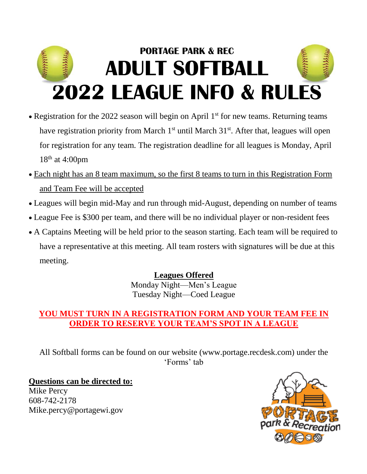# **PORTAGE PARK & REC William ADULT SOFTBALL 2022 LEAGUE INFO & RULES**

- Registration for the 2022 season will begin on April 1<sup>st</sup> for new teams. Returning teams have registration priority from March  $1<sup>st</sup>$  until March  $31<sup>st</sup>$ . After that, leagues will open for registration for any team. The registration deadline for all leagues is Monday, April 18<sup>th</sup> at 4:00pm
- Each night has an 8 team maximum, so the first 8 teams to turn in this Registration Form and Team Fee will be accepted
- Leagues will begin mid-May and run through mid-August, depending on number of teams
- League Fee is \$300 per team, and there will be no individual player or non-resident fees
- A Captains Meeting will be held prior to the season starting. Each team will be required to have a representative at this meeting. All team rosters with signatures will be due at this meeting.

## **Leagues Offered**

Monday Night—Men's League Tuesday Night—Coed League

# **YOU MUST TURN IN A REGISTRATION FORM AND YOUR TEAM FEE IN ORDER TO RESERVE YOUR TEAM'S SPOT IN A LEAGUE**

All Softball forms can be found on our website (www.portage.recdesk.com) under the 'Forms' tab

**Questions can be directed to:** Mike Percy 608-742-2178 Mike.percy@portagewi.gov

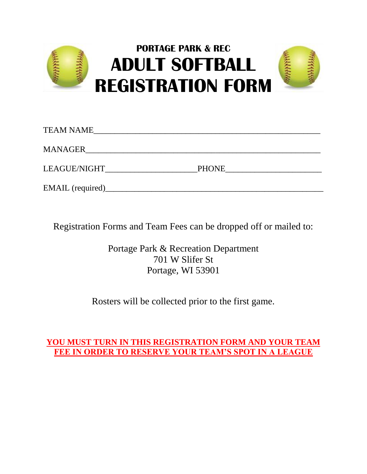

| <b>TEAM NAME</b> |              |  |
|------------------|--------------|--|
| <b>MANAGER</b>   |              |  |
| LEAGUE/NIGHT     | <b>PHONE</b> |  |
| EMAIL (required) |              |  |

Registration Forms and Team Fees can be dropped off or mailed to:

Portage Park & Recreation Department 701 W Slifer St Portage, WI 53901

Rosters will be collected prior to the first game.

### **YOU MUST TURN IN THIS REGISTRATION FORM AND YOUR TEAM FEE IN ORDER TO RESERVE YOUR TEAM'S SPOT IN A LEAGUE**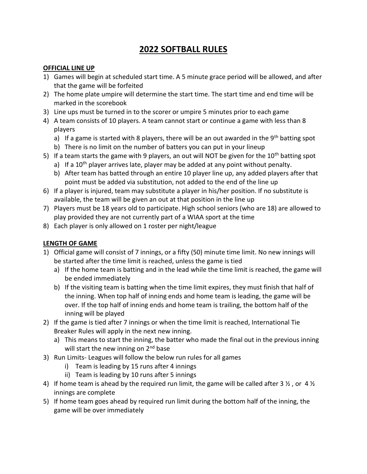# **2022 SOFTBALL RULES**

#### **OFFICIAL LINE UP**

- 1) Games will begin at scheduled start time. A 5 minute grace period will be allowed, and after that the game will be forfeited
- 2) The home plate umpire will determine the start time. The start time and end time will be marked in the scorebook
- 3) Line ups must be turned in to the scorer or umpire 5 minutes prior to each game
- 4) A team consists of 10 players. A team cannot start or continue a game with less than 8 players
	- a) If a game is started with 8 players, there will be an out awarded in the 9<sup>th</sup> batting spot
	- b) There is no limit on the number of batters you can put in your lineup
- 5) If a team starts the game with 9 players, an out will NOT be given for the 10<sup>th</sup> batting spot
	- a) If a  $10<sup>th</sup>$  player arrives late, player may be added at any point without penalty.
	- b) After team has batted through an entire 10 player line up, any added players after that point must be added via substitution, not added to the end of the line up
- 6) If a player is injured, team may substitute a player in his/her position. If no substitute is available, the team will be given an out at that position in the line up
- 7) Players must be 18 years old to participate. High school seniors (who are 18) are allowed to play provided they are not currently part of a WIAA sport at the time
- 8) Each player is only allowed on 1 roster per night/league

#### **LENGTH OF GAME**

- 1) Official game will consist of 7 innings, or a fifty (50) minute time limit. No new innings will be started after the time limit is reached, unless the game is tied
	- a) If the home team is batting and in the lead while the time limit is reached, the game will be ended immediately
	- b) If the visiting team is batting when the time limit expires, they must finish that half of the inning. When top half of inning ends and home team is leading, the game will be over. If the top half of inning ends and home team is trailing, the bottom half of the inning will be played
- 2) If the game is tied after 7 innings or when the time limit is reached, International Tie Breaker Rules will apply in the next new inning.
	- a) This means to start the inning, the batter who made the final out in the previous inning will start the new inning on  $2<sup>nd</sup>$  base
- 3) Run Limits- Leagues will follow the below run rules for all games
	- i) Team is leading by 15 runs after 4 innings
	- ii) Team is leading by 10 runs after 5 innings
- 4) If home team is ahead by the required run limit, the game will be called after 3  $\frac{1}{2}$ , or 4  $\frac{1}{2}$ innings are complete
- 5) If home team goes ahead by required run limit during the bottom half of the inning, the game will be over immediately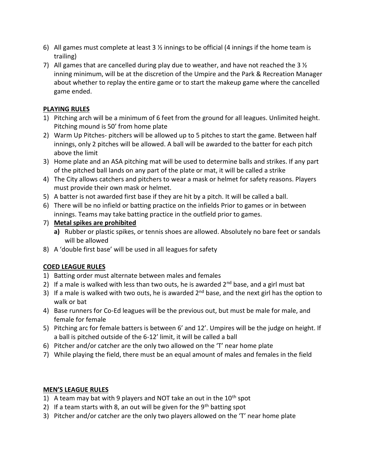- 6) All games must complete at least 3  $\frac{1}{2}$  innings to be official (4 innings if the home team is trailing)
- 7) All games that are cancelled during play due to weather, and have not reached the 3  $\frac{1}{2}$ inning minimum, will be at the discretion of the Umpire and the Park & Recreation Manager about whether to replay the entire game or to start the makeup game where the cancelled game ended.

#### **PLAYING RULES**

- 1) Pitching arch will be a minimum of 6 feet from the ground for all leagues. Unlimited height. Pitching mound is 50' from home plate
- 2) Warm Up Pitches- pitchers will be allowed up to 5 pitches to start the game. Between half innings, only 2 pitches will be allowed. A ball will be awarded to the batter for each pitch above the limit
- 3) Home plate and an ASA pitching mat will be used to determine balls and strikes. If any part of the pitched ball lands on any part of the plate or mat, it will be called a strike
- 4) The City allows catchers and pitchers to wear a mask or helmet for safety reasons. Players must provide their own mask or helmet.
- 5) A batter is not awarded first base if they are hit by a pitch. It will be called a ball.
- 6) There will be no infield or batting practice on the infields Prior to games or in between innings. Teams may take batting practice in the outfield prior to games.
- 7) **Metal spikes are prohibited** 
	- **a)** Rubber or plastic spikes, or tennis shoes are allowed. Absolutely no bare feet or sandals will be allowed
- 8) A 'double first base' will be used in all leagues for safety

#### **COED LEAGUE RULES**

- 1) Batting order must alternate between males and females
- 2) If a male is walked with less than two outs, he is awarded  $2<sup>nd</sup>$  base, and a girl must bat
- 3) If a male is walked with two outs, he is awarded  $2<sup>nd</sup>$  base, and the next girl has the option to walk or bat
- 4) Base runners for Co-Ed leagues will be the previous out, but must be male for male, and female for female
- 5) Pitching arc for female batters is between 6' and 12'. Umpires will be the judge on height. If a ball is pitched outside of the 6-12' limit, it will be called a ball
- 6) Pitcher and/or catcher are the only two allowed on the 'T' near home plate
- 7) While playing the field, there must be an equal amount of males and females in the field

#### **MEN'S LEAGUE RULES**

- 1) A team may bat with 9 players and NOT take an out in the  $10<sup>th</sup>$  spot
- 2) If a team starts with 8, an out will be given for the  $9<sup>th</sup>$  batting spot
- 3) Pitcher and/or catcher are the only two players allowed on the 'T' near home plate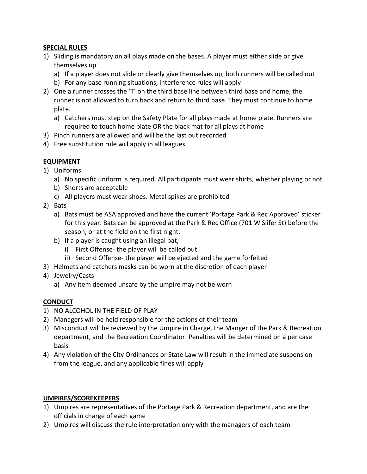#### **SPECIAL RULES**

- 1) Sliding is mandatory on all plays made on the bases. A player must either slide or give themselves up
	- a) If a player does not slide or clearly give themselves up, both runners will be called out
	- b) For any base running situations, interference rules will apply
- 2) One a runner crosses the 'T' on the third base line between third base and home, the runner is not allowed to turn back and return to third base. They must continue to home plate.
	- a) Catchers must step on the Safety Plate for all plays made at home plate. Runners are required to touch home plate OR the black mat for all plays at home
- 3) Pinch runners are allowed and will be the last out recorded
- 4) Free substitution rule will apply in all leagues

#### **EQUIPMENT**

- 1) Uniforms
	- a) No specific uniform is required. All participants must wear shirts, whether playing or not
	- b) Shorts are acceptable
	- c) All players must wear shoes. Metal spikes are prohibited
- 2) Bats
	- a) Bats must be ASA approved and have the current 'Portage Park & Rec Approved' sticker for this year. Bats can be approved at the Park & Rec Office (701 W Slifer St) before the season, or at the field on the first night.
	- b) If a player is caught using an illegal bat,
		- i) First Offense- the player will be called out
		- ii) Second Offense- the player will be ejected and the game forfeited
- 3) Helmets and catchers masks can be worn at the discretion of each player
- 4) Jewelry/Casts
	- a) Any item deemed unsafe by the umpire may not be worn

#### **CONDUCT**

- 1) NO ALCOHOL IN THE FIELD OF PLAY
- 2) Managers will be held responsible for the actions of their team
- 3) Misconduct will be reviewed by the Umpire in Charge, the Manger of the Park & Recreation department, and the Recreation Coordinator. Penalties will be determined on a per case basis
- 4) Any violation of the City Ordinances or State Law will result in the immediate suspension from the league, and any applicable fines will apply

#### **UMPIRES/SCOREKEEPERS**

- 1) Umpires are representatives of the Portage Park & Recreation department, and are the officials in charge of each game
- 2) Umpires will discuss the rule interpretation only with the managers of each team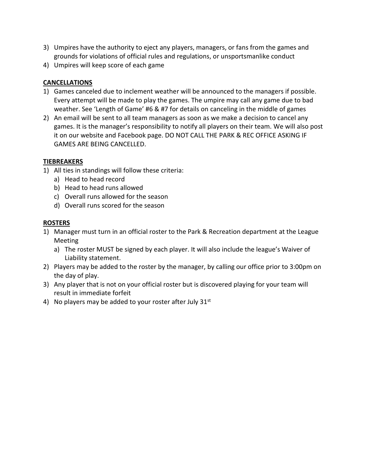- 3) Umpires have the authority to eject any players, managers, or fans from the games and grounds for violations of official rules and regulations, or unsportsmanlike conduct
- 4) Umpires will keep score of each game

#### **CANCELLATIONS**

- 1) Games canceled due to inclement weather will be announced to the managers if possible. Every attempt will be made to play the games. The umpire may call any game due to bad weather. See 'Length of Game' #6 & #7 for details on canceling in the middle of games
- 2) An email will be sent to all team managers as soon as we make a decision to cancel any games. It is the manager's responsibility to notify all players on their team. We will also post it on our website and Facebook page. DO NOT CALL THE PARK & REC OFFICE ASKING IF GAMES ARE BEING CANCELLED.

#### **TIEBREAKERS**

- 1) All ties in standings will follow these criteria:
	- a) Head to head record
	- b) Head to head runs allowed
	- c) Overall runs allowed for the season
	- d) Overall runs scored for the season

#### **ROSTERS**

- 1) Manager must turn in an official roster to the Park & Recreation department at the League Meeting
	- a) The roster MUST be signed by each player. It will also include the league's Waiver of Liability statement.
- 2) Players may be added to the roster by the manager, by calling our office prior to 3:00pm on the day of play.
- 3) Any player that is not on your official roster but is discovered playing for your team will result in immediate forfeit
- 4) No players may be added to your roster after July  $31<sup>st</sup>$